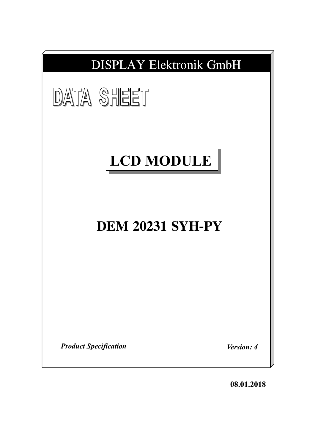

**08.01.2018**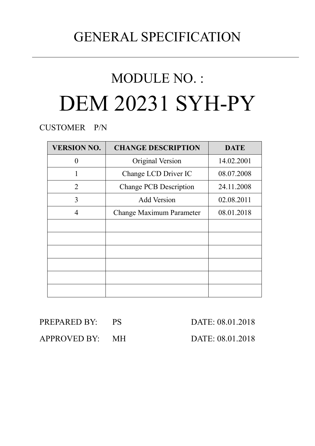## GENERAL SPECIFICATION

# MODULE NO. : DEM 20231 SYH-PY

CUSTOMER P/N

| <b>VERSION NO.</b> | <b>CHANGE DESCRIPTION</b>     | <b>DATE</b> |
|--------------------|-------------------------------|-------------|
|                    | Original Version              | 14.02.2001  |
|                    | Change LCD Driver IC          | 08.07.2008  |
| 2                  | <b>Change PCB Description</b> | 24.11.2008  |
| 3                  | <b>Add Version</b>            | 02.08.2011  |
| $\overline{4}$     | Change Maximum Parameter      | 08.01.2018  |
|                    |                               |             |
|                    |                               |             |
|                    |                               |             |
|                    |                               |             |
|                    |                               |             |
|                    |                               |             |

PREPARED BY: PS DATE: 08.01.2018

APPROVED BY: MH DATE: 08.01.2018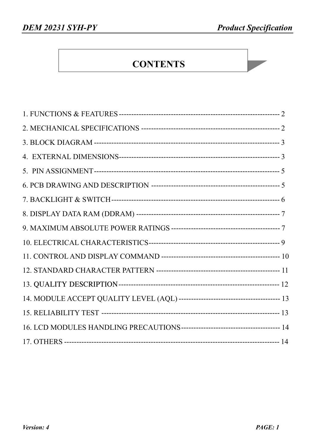### **CONTENTS**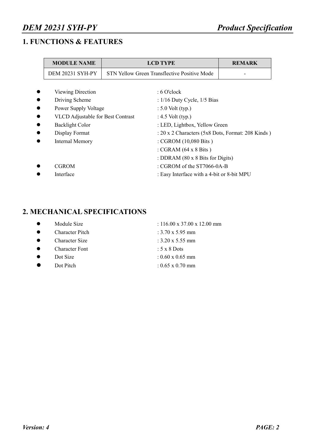### *DEM 20231 SYH-PY Product Specification*

### **1. FUNCTIONS & FEATURES**

| <b>MODULE NAME</b>                       |  | <b>REMARK</b>                                     |  |  |  |  |  |  |
|------------------------------------------|--|---------------------------------------------------|--|--|--|--|--|--|
| <b>DEM 20231 SYH-PY</b>                  |  | STN Yellow Green Transflective Positive Mode      |  |  |  |  |  |  |
|                                          |  |                                                   |  |  |  |  |  |  |
| Viewing Direction                        |  | : 6 O'clock                                       |  |  |  |  |  |  |
| Driving Scheme                           |  | : $1/16$ Duty Cycle, $1/5$ Bias                   |  |  |  |  |  |  |
| Power Supply Voltage                     |  | $: 5.0$ Volt (typ.)                               |  |  |  |  |  |  |
| <b>VLCD</b> Adjustable for Best Contrast |  | : 4.5 Volt (typ.)                                 |  |  |  |  |  |  |
| <b>Backlight Color</b>                   |  | : LED, Lightbox, Yellow Green                     |  |  |  |  |  |  |
| Display Format                           |  | : 20 x 2 Characters (5x8 Dots, Format: 208 Kinds) |  |  |  |  |  |  |
| <b>Internal Memory</b>                   |  | : CGROM (10,080 Bits)                             |  |  |  |  |  |  |
|                                          |  | : CGRAM $(64 \times 8 \text{ bits})$              |  |  |  |  |  |  |
|                                          |  | : DDRAM (80 x 8 Bits for Digits)                  |  |  |  |  |  |  |
| <b>CGROM</b>                             |  | : CGROM of the ST7066-0A-B                        |  |  |  |  |  |  |
| Interface                                |  | : Easy Interface with a 4-bit or 8-bit MPU        |  |  |  |  |  |  |

### **2. MECHANICAL SPECIFICATIONS**

| Module Size |  |
|-------------|--|
|             |  |

- Character Pitch : 3.70 x 5.95 mm
- Character Size  $: 3.20 \times 5.55$  mm
- Character Font : 5 x 8 Dots
- 
- $\bullet$  Dot Pitch : 0.65 x 0.70 mm

 $: 116.00 \times 37.00 \times 12.00$  mm

- 
- 
- 
- $\bullet$  Dot Size : 0.60 x 0.65 mm
	-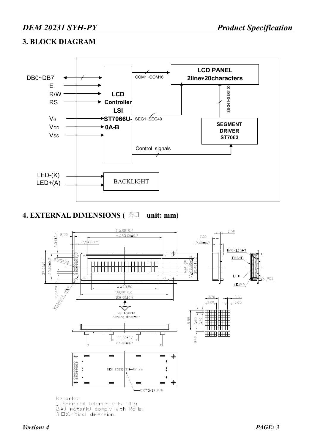#### **3. BLOCK DIAGRAM**



### 4. EXTERNAL DIMENSIONS ( $\oplus \oplus$  unit: mm)



2.All material comply with RoHs; 3.□:Critical dimension.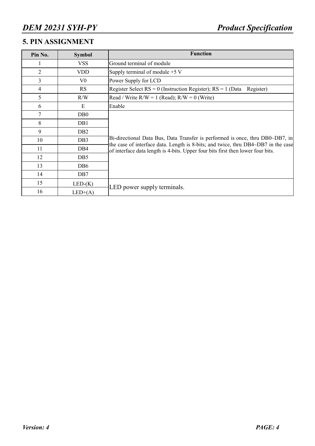### **5. PIN ASSIGNMENT**

| Pin No.        | <b>Symbol</b>    | <b>Function</b>                                                                                                                                                      |
|----------------|------------------|----------------------------------------------------------------------------------------------------------------------------------------------------------------------|
|                | <b>VSS</b>       | Ground terminal of module                                                                                                                                            |
| $\overline{2}$ | <b>VDD</b>       | Supply terminal of module $+5$ V                                                                                                                                     |
| 3              | $V_{0}$          | Power Supply for LCD                                                                                                                                                 |
| 4              | <b>RS</b>        | Register Select $RS = 0$ (Instruction Register); $RS = 1$ (Data<br>Register)                                                                                         |
| 5              | R/W              | Read / Write $R/W = 1$ (Read); $R/W = 0$ (Write)                                                                                                                     |
| 6              | E                | Enable                                                                                                                                                               |
| 7              | D <sub>B</sub> 0 |                                                                                                                                                                      |
| 8              | DB1              |                                                                                                                                                                      |
| 9              | DB <sub>2</sub>  |                                                                                                                                                                      |
| 10             | DB <sub>3</sub>  | Bi-directional Data Bus, Data Transfer is performed is once, thru DB0~DB7, in                                                                                        |
| 11             | DB4              | the case of interface data. Length is 8-bits; and twice, thru DB4~DB7 in the case<br>of interface data length is 4-bits. Upper four bits first then lower four bits. |
| 12             | DB <sub>5</sub>  |                                                                                                                                                                      |
| 13             | DB <sub>6</sub>  |                                                                                                                                                                      |
| 14             | DB7              |                                                                                                                                                                      |
| 15             | $LED-(K)$        |                                                                                                                                                                      |
| 16             | $LED+(A)$        | LED power supply terminals.                                                                                                                                          |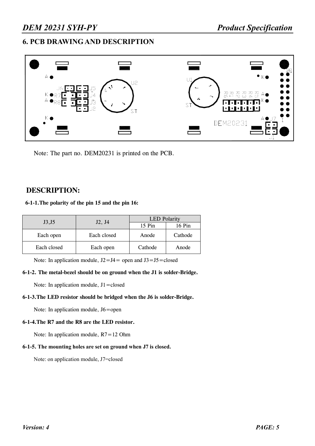#### **6. PCB DRAWING AND DESCRIPTION**



Note: The part no. DEM20231 is printed on the PCB.

#### **DESCRIPTION:**

#### **6-1-1.The polarity of the pin 15 and the pin 16:**

|             |             | <b>LED</b> Polarity |         |  |  |  |
|-------------|-------------|---------------------|---------|--|--|--|
| J3, J5      | J2, J4      | 15 Pin              | 16 Pin  |  |  |  |
| Each open   | Each closed | Anode               | Cathode |  |  |  |
| Each closed | Each open   | Cathode             | Anode   |  |  |  |

Note: In application module,  $J2 = J4 =$  open and  $J3 = J5 =$ closed

#### **6-1-2. The metal-bezel should be on ground when the J1 is solder-Bridge.**

Note: In application module, J1=closed

#### **6-1-3.The LED resistor should be bridged when the J6 is solder-Bridge.**

Note: In application module, J6=open

#### **6-1-4.The R7 and the R8 are the LED resistor.**

Note: In application module, R7=12 Ohm

#### **6-1-5. The mounting holes are set on ground when J7 is closed.**

Note: on application module, J7=closed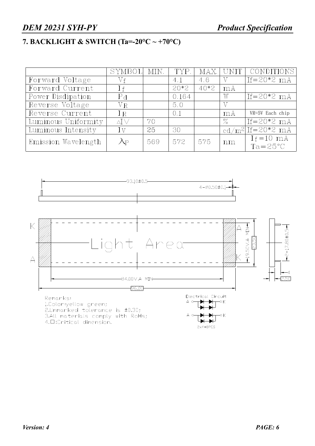### *DEM 20231 SYH-PY Product Specification*

### **7. BACKLIGHT & SWITCH (Ta=-20°C ~ +70°C)**

|                     | SYMBOL                | – MIN. | TYP.   |        |      | MAX UNIT CONDITIONS                 |
|---------------------|-----------------------|--------|--------|--------|------|-------------------------------------|
| Forward Voltage     | Vf                    |        | 4.1    | 4.6    | V    | $If = 20*2 mA$                      |
| Forward Current     | $\perp$ f             |        | $20*2$ | $40*2$ | mA   |                                     |
| Power Disdipation   | P <sub>d</sub>        |        | 0.164  |        | W    | $If = 20*2 mA$                      |
| Reverse Voltage     | $V_{R}$               |        | 5.0    |        |      |                                     |
| Reverse Current     | IR                    |        | 0.1    |        | mA   | VR=5V Each chip                     |
| Luminous Uniformity | $\Delta\Gamma$ $\vee$ | 70     |        |        | $\%$ | $If = 20*2$ mA                      |
| Luminous Intensity  | Ιv                    | 25     | 30     |        |      | $cd/m^{2}$ If=20*2 mA               |
| Emission Wavelength | $\lambda_{\rm P}$     | 569    | 572    | 575    | nm   | $I_f = 10$ mA<br>$Ta = 25^{\circ}C$ |

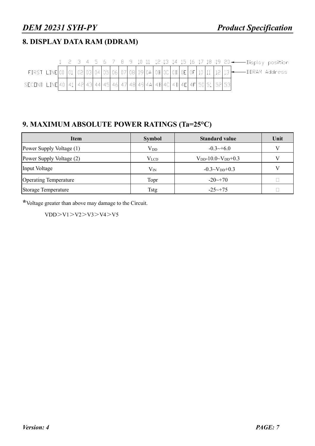### **8. DISPLAY DATA RAM (DDRAM)**

|                                                                         |  |  |  |  |  |  |  |  |  |  |  | 1 2 3 4 5 6 7 8 9 10 11 12 13 14 15 16 17 18 19 20 -- Display position                 |  |  |
|-------------------------------------------------------------------------|--|--|--|--|--|--|--|--|--|--|--|----------------------------------------------------------------------------------------|--|--|
|                                                                         |  |  |  |  |  |  |  |  |  |  |  | FIRST LINE 00 01 02 03 04 05 06 07 08 09 04 0B 0C 0D 0E 0F 10 11 12 13 - DDRAM Address |  |  |
| SECOND LINE 40 41 42 43 44 45 46 47 48 49 44 4B 4C 4D 4E 4F 50 51 52 53 |  |  |  |  |  |  |  |  |  |  |  |                                                                                        |  |  |

### **9. MAXIMUM ABSOLUTE POWER RATINGS (Ta=25°C)**

| <b>Item</b>                  | <b>Symbol</b> | <b>Standard value</b>         | Unit |
|------------------------------|---------------|-------------------------------|------|
| Power Supply Voltage (1)     | $\rm V_{DD}$  | $-0.3 \rightarrow +6.0$       | V    |
| Power Supply Voltage (2)     | $V_{LCD}$     | $V_{DD}$ -10.0~ $V_{DD}$ +0.3 | V    |
| Input Voltage                | $\rm V_{IN}$  | $-0.3 \sim V_{DD}+0.3$        |      |
| <b>Operating Temperature</b> | Topr          | $-20 \rightarrow 70$          |      |
| Storage Temperature          | Tstg          | $-25 \rightarrow 75$          |      |

**\***Voltage greater than above may damage to the Circuit.

 $VDD>V1>V2>V3>V3>V4>V5$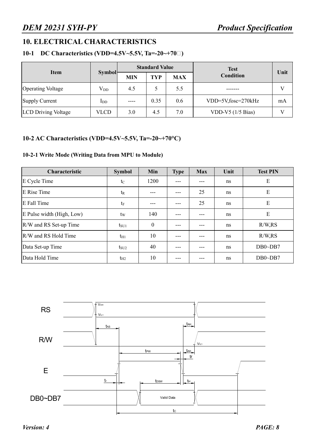### **10. ELECTRICAL CHARACTERISTICS**

#### **10-1 DC Characteristics (VDD=4.5V~5.5V, Ta=-20~+70℃)**

|                            |               |            | <b>Standard Value</b> |            | <b>Test</b>         |      |
|----------------------------|---------------|------------|-----------------------|------------|---------------------|------|
| <b>Item</b>                | <b>Symbol</b> | <b>MIN</b> | TYP                   | <b>MAX</b> | <b>Condition</b>    | Unit |
| <b>Operating Voltage</b>   | $\rm V_{DD}$  | 4.5        |                       | 5.5        |                     |      |
| Supply Current             | $\text{In}$   | $---$      | 0.35                  | 0.6        | VDD=5V,fosc=270kHz  | mA   |
| <b>LCD</b> Driving Voltage | VLCD          | 3.0        | 4.5                   | 7.0        | VDD-V5 $(1/5$ Bias) |      |

#### **10-2 AC Characteristics (VDD=4.5V~5.5V, Ta=-20~+70°C)**

#### **10-2-1 Write Mode (Writing Data from MPU to Module)**

| Characteristic            | <b>Symbol</b> | Min          | <b>Type</b> | <b>Max</b> | Unit | <b>Test PIN</b> |  |
|---------------------------|---------------|--------------|-------------|------------|------|-----------------|--|
| E Cycle Time              | $t_{\rm C}$   | 1200         |             |            | ns   | E               |  |
| E Rise Time               | $t_{R}$       |              |             | 25         | ns   | E               |  |
| E Fall Time               | $t_F$         |              |             | 25         | ns   | E               |  |
| E Pulse width (High, Low) | tw            | 140          |             | ---        | ns   | E               |  |
| R/W and RS Set-up Time    | $t_{\rm SU1}$ | $\mathbf{0}$ |             |            | ns   | R/W, RS         |  |
| R/W and RS Hold Time      | $t_{H1}$      | 10           |             | ---        | ns   | R/W, RS         |  |
| Data Set-up Time          | $t_{\rm SU2}$ | 40           |             | ---        | ns   | $DB0\neg DB7$   |  |
| Data Hold Time            | $t_{H2}$      | 10           |             |            | ns   | $DB0\neg DB7$   |  |

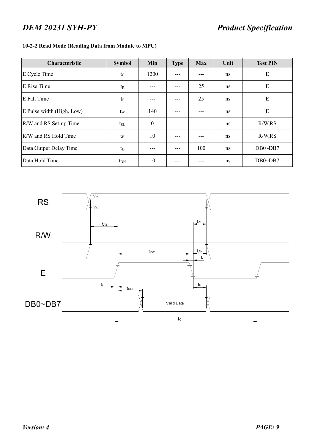#### **10-2-2 Read Mode (Reading Data from Module to MPU)**

| Characteristic            | <b>Symbol</b>  | Min          | <b>Type</b> | <b>Max</b> | Unit | <b>Test PIN</b> |  |
|---------------------------|----------------|--------------|-------------|------------|------|-----------------|--|
| E Cycle Time              | $t_{\rm C}$    | 1200         |             |            | ns   | E               |  |
| E Rise Time               | t <sub>R</sub> |              |             | 25         | ns   | E               |  |
| E Fall Time               | $t_{\rm F}$    |              |             | 25         | ns   | E               |  |
| E Pulse width (High, Low) | tw             | 140          |             |            | ns   | E               |  |
| R/W and RS Set-up Time    | $t_{\rm SU}$   | $\mathbf{0}$ |             |            | ns   | R/W, RS         |  |
| R/W and RS Hold Time      | $t_{\rm H}$    | 10           |             |            | ns   | R/W, RS         |  |
| Data Output Delay Time    | $t_{D}$        |              |             | 100        | ns   | $DB0\neg DB7$   |  |
| Data Hold Time            | $t_{DH}$       | 10           |             |            | ns   | $DB0\neg DB7$   |  |

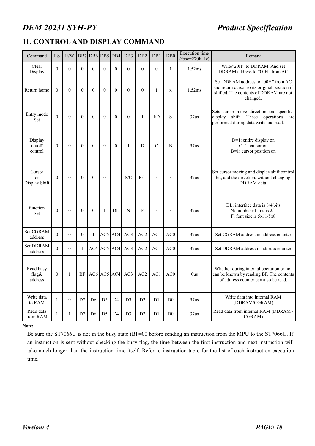### **11. CONTROL AND DISPLAY COMMAND**

| Command                       | <b>RS</b>        | R/W              |                  | DB7 DB6 DB5 DB4 |                |                | DB3            | D <sub>B2</sub> | DB1            | D <sub>B</sub> <sub>0</sub> | <b>Execution</b> time<br>$(fose=270KHz)$ | Remark                                                                                                                                    |  |  |  |
|-------------------------------|------------------|------------------|------------------|-----------------|----------------|----------------|----------------|-----------------|----------------|-----------------------------|------------------------------------------|-------------------------------------------------------------------------------------------------------------------------------------------|--|--|--|
| Clear<br>Display              | $\Omega$         | $\theta$         | $\theta$         | $\theta$        | $\theta$       | $\Omega$       | $\theta$       | $\Omega$        | $\theta$       | $\mathbf{1}$                | 1.52ms                                   | Write"20H" to DDRAM. And set<br>DDRAM address to "00H" from AC                                                                            |  |  |  |
| Return home                   | $\theta$         | $\theta$         | $\theta$         | $\theta$        | $\theta$       | $\theta$       | $\theta$       | $\theta$        | $\mathbf{1}$   | $\mathbf x$                 | 1.52ms                                   | Set DDRAM address to "00H" from AC<br>and return cursor to its original position if<br>shifted. The contents of DDRAM are not<br>changed. |  |  |  |
| Entry mode<br>Set             | $\theta$         | $\theta$         | $\theta$         | $\theta$        | $\theta$       | $\theta$       | $\theta$       | $\mathbf{1}$    | I/D            | S                           | 37us                                     | Sets cursor move direction and specifies<br>display shift. These operations<br>are<br>performed during data write and read.               |  |  |  |
| Display<br>on/off<br>control  | $\boldsymbol{0}$ | $\boldsymbol{0}$ | $\boldsymbol{0}$ | $\mathbf{0}$    | $\mathbf{0}$   | $\mathbf{0}$   | $\mathbf{1}$   | D               | $\mathcal{C}$  | B                           | 37us                                     | $D=1$ : entire display on<br>$C=1$ : cursor on<br>B=1: cursor position on                                                                 |  |  |  |
| Cursor<br>or<br>Display Shift | $\theta$         | $\theta$         | $\theta$         | $\theta$        | $\theta$       | 1              | S/C            | R/L             | $\mathbf x$    | $\mathbf x$                 | 37us                                     | Set cursor moving and display shift control<br>bit, and the direction, without changing<br>DDRAM data.                                    |  |  |  |
| function<br>Set               | $\theta$         | $\theta$         | $\mathbf{0}$     | $\theta$        | 1              | DL             | N              | F               | $\mathbf X$    | $\mathbf X$                 | 37us                                     | DL: interface data is 8/4 bits<br>N: number of line is $2/1$<br>F: font size is $5x11/5x8$                                                |  |  |  |
| <b>Set CGRAM</b><br>address   | $\Omega$         | $\theta$         | $\Omega$         | $\mathbf{1}$    | AC5            | AC4            | AC3            | AC2             | AC1            | AC0                         | 37us                                     | Set CGRAM address in address counter                                                                                                      |  |  |  |
| <b>Set DDRAM</b><br>address   | $\Omega$         | $\theta$         | $\mathbf{1}$     |                 | AC6 AC5 AC4    |                | AC3            | AC2             | AC1            | AC0                         | 37 <sub>us</sub>                         | Set DDRAM address in address counter                                                                                                      |  |  |  |
| Read busy<br>flag&<br>address | $\boldsymbol{0}$ | 1                | <b>BF</b>        |                 |                | AC6 AC5 AC4    | AC3            | AC2             | AC1            | AC <sub>0</sub>             | 0 <sub>us</sub>                          | Whether during internal operation or not<br>can be known by reading BF. The contents<br>of address counter can also be read.              |  |  |  |
| Write data<br>to RAM          | 1                | $\theta$         | D7               | D <sub>6</sub>  | D <sub>5</sub> | D <sub>4</sub> | D <sub>3</sub> | D2              | D <sub>1</sub> | D <sub>0</sub>              | 37us                                     | Write data into internal RAM<br>(DDRAM/CGRAM)                                                                                             |  |  |  |
| Read data<br>from RAM         | $\mathbf{1}$     | $\mathbf{1}$     | D7               | D <sub>6</sub>  | D <sub>5</sub> | D <sub>4</sub> | D <sub>3</sub> | D2              | D1             | D <sub>0</sub>              | 37us                                     | Read data from internal RAM (DDRAM /<br>CGRAM)                                                                                            |  |  |  |

**Note:** 

Be sure the ST7066U is not in the busy state (BF=00 before sending an instruction from the MPU to the ST7066U. If an instruction is sent without checking the busy flag, the time between the first instruction and next instruction will take much longer than the instruction time itself. Refer to instruction table for the list of each instruction execution time.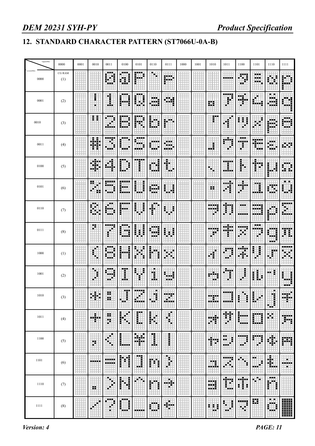### **12. STANDARD CHARACTER PATTERN (ST7066U-0A-B)**

| Upper(4bit)         | 0000                 | 0001 | 0010         | 0011         | 0100                                                                | 0101              | 0110                | 0111               | 1000 | 1001 | 1010           | 1011       | 1100              | 1101                  | 1110                     | 1111      |
|---------------------|----------------------|------|--------------|--------------|---------------------------------------------------------------------|-------------------|---------------------|--------------------|------|------|----------------|------------|-------------------|-----------------------|--------------------------|-----------|
| Lower(4bit)<br>0000 | <b>CG RAM</b><br>(1) |      |              | .<br>- -     | <b>HE</b><br>н.                                                     | H                 | ₩                   | m                  |      |      |                |            | ₩<br>ujul.        | .<br>œ<br>.           |                          |           |
| 0001                | (2)                  |      | i            | Í            | 医胃炎                                                                 | 医胃炎<br>Ē          | <br>                | . .                |      |      | 蒜              | -----<br>H | п<br>Ш.           |                       | <b>BILLIA</b>            |           |
| 0010                | (3)                  |      | Ħ            |              |                                                                     | j                 |                     | 医胃                 |      |      | m<br>E         |            |                   |                       | .                        |           |
| 0011                | (4)                  |      | W<br>m       | -----        | 医胃炎                                                                 | 医胃胃炎              | <br>---             | <br>an a<br>in a s |      |      | Η<br>.         | Ï<br>¢     | <br>.             | <br>ш.                | .<br><br>---             |           |
| 0100                | (5)                  |      | a italy<br>۰ | ۵Ē           | E                                                                   | -----             | W                   | 畫                  |      |      | ш.             |            | ŀ                 | 39                    | i                        |           |
| 0101                | (6)                  |      | 88.<br>æ     | ----         |                                                                     | E<br>i            | <br>بإيلي<br>ainini | I<br>i<br>ш        |      |      | ×              | ----<br>Ŧ  | Ħ                 | B                     |                          | ш<br>i.   |
| 0110                | (7)                  |      | п            | 医胃炎<br>ъ.    |                                                                     | Ē<br>ł            | Ì                   | i                  |      |      | 333            | Ħ          | ---<br>-----      | .<br>---              |                          | in an     |
| 0111                | (8)                  |      | 89           | ----         | 1 E E<br>a a s                                                      | E<br>Î            | m.<br>---           | Ē<br>н             |      |      |                | н.<br>J.   | ويحاد             | <br>æ                 | ۰.<br>a ala              | E         |
| 1000                | (1)                  |      | B            | 医胃炎          | i<br>i                                                              | Η                 |                     |                    |      |      |                |            |                   | Ξ<br>I                | ā                        | -----     |
| 1001                | (2)                  |      | Ŧ            | <br>44<br>н. | I                                                                   | E<br>€            | H                   |                    |      |      | п              | ----       | ĺ                 | Î.<br>Ē               | E<br>. .                 | i<br>.    |
| $1010\,$            | (3)                  |      | ĦЦ<br>н      | ×<br>99      | Œ.                                                                  | <b>FEBRU</b><br>Ħ | Ħ<br>ш.<br>н        | <br>m<br>H.        |      |      | Η              | <br>       | E<br>Ξ            | E<br>B<br>п           | в<br>н.<br>開             | an a<br>m |
| 1011                | (4)                  |      | Ħ<br>п.      | 99<br>Ħ      | İ<br>軍                                                              | E                 | 團                   | i.                 |      |      | Ħ<br>m e       | Ħ          | Ħ<br><b>BREE</b>  | ▦                     | m                        | ₩         |
| 1100                | (5)                  |      | H.           | 毒<br>۲       | İ                                                                   | 鼺                 | H                   | l                  |      |      | .<br>F         | EЕ<br>Ŧ    | 鞩<br>н            | 臘<br>×                | d.                       | 驒         |
| 1101                | (6)                  |      |              |              | i<br>Li<br>ij                                                       | .<br>鄘            | m                   | 轟                  |      |      | m.<br>-----    | 酣話         | Ħ                 | <br>F<br><b>A 6 6</b> | 嚸                        | H.<br>m   |
| 1110                | (7)                  |      | 99           | ш<br>崋       | I<br>l                                                              | m<br>H            | 驧                   | H.<br>25           |      |      | <b>THE</b><br> | 龖<br>W.    | Ħ                 | ۲                     | <br>İ                    |           |
| 1111                | (8)                  |      | п            | ---<br>н     | $\begin{array}{c} \bullet \bullet \bullet \bullet \end{array}$<br>i |                   | ---                 | Ш.<br>ч            |      |      | н              | E<br>i     | m<br>ш<br>٠<br>۲ł | m                     | $\sim$ 10 $\pm$<br><br>Ē | W         |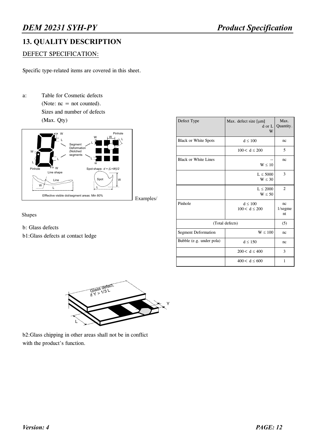### **13. QUALITY DESCRIPTION**

#### DEFECT SPECIFICATION:

Specific type-related items are covered in this sheet.

a: Table for Cosmetic defects (Note:  $nc = not counted$ ). Sizes and number of defects (Max. Qty)



Defect Type  $\vert$  Max. defect size  $\vert \mu m \vert$ d or L W Max. Quantity. Black or White Spots  $d \le 100$  nc  $100 < d \le 200$  5 Black or White Lines  $W \leq 10$ nc  $L \leq 5000$  $W \leq 30$ 3  $L \leq 2000$  $W \leq 50$ 2 Pinhole  $d \le 100$  $100 < d \le 200$ nc 1/segme nt (Total defects) (5) Segment Deformation  $W \le 100$  nc Bubble (e.g. under pola)  $d \le 150$  nc  $200 < d \leq 400$  3  $400 < d \le 600$  1



- b: Glass defects
- b1:Glass defects at contact ledge



b2:Glass chipping in other areas shall not be in conflict with the product's function.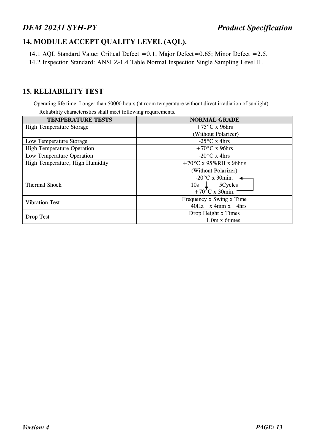### **14. MODULE ACCEPT QUALITY LEVEL (AQL).**

14.1 AQL Standard Value: Critical Defect =0.1, Major Defect=0.65; Minor Defect =2.5. 14.2 Inspection Standard: ANSI Z-1.4 Table Normal Inspection Single Sampling Level II.

#### **15. RELIABILITY TEST**

Operating life time: Longer than 50000 hours (at room temperature without direct irradiation of sunlight) Reliability characteristics shall meet following requirements.

| <b>TEMPERATURE TESTS</b>          | <b>NORMAL GRADE</b>                                                                         |  |  |  |  |  |  |  |
|-----------------------------------|---------------------------------------------------------------------------------------------|--|--|--|--|--|--|--|
| <b>High Temperature Storage</b>   | $+75^{\circ}$ C x 96hrs                                                                     |  |  |  |  |  |  |  |
|                                   | (Without Polarizer)                                                                         |  |  |  |  |  |  |  |
| Low Temperature Storage           | $-25^{\circ}$ C x 4hrs                                                                      |  |  |  |  |  |  |  |
| <b>High Temperature Operation</b> | $+70^{\circ}$ C x 96hrs                                                                     |  |  |  |  |  |  |  |
| Low Temperature Operation         | $-20^{\circ}$ C x 4hrs                                                                      |  |  |  |  |  |  |  |
| High Temperature, High Humidity   | $+70^{\circ}$ C x 95%RH x 96hrs                                                             |  |  |  |  |  |  |  |
|                                   | (Without Polarizer)                                                                         |  |  |  |  |  |  |  |
| <b>Thermal Shock</b>              | $-20^{\circ}$ C x 30min. $\triangleleft$<br>$10s \quad 5Cycles$<br>$+70^{\circ}$ C x 30min. |  |  |  |  |  |  |  |
| <b>Vibration Test</b>             | Frequency x Swing x Time<br>$40Hz$ x 4mm x 4hrs                                             |  |  |  |  |  |  |  |
| Drop Test                         | Drop Height x Times<br>1.0m x 6times                                                        |  |  |  |  |  |  |  |